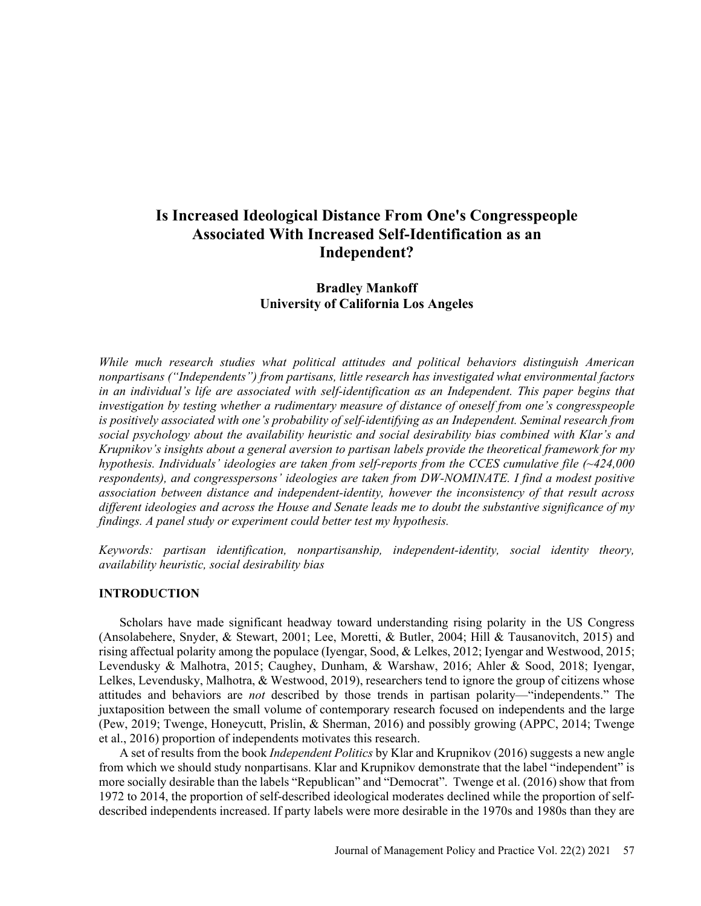# **Is Increased Ideological Distance From One's Congresspeople Associated With Increased Self-Identification as an Independent?**

## **Bradley Mankoff University of California Los Angeles**

*While much research studies what political attitudes and political behaviors distinguish American nonpartisans ("Independents") from partisans, little research has investigated what environmental factors in an individual's life are associated with self-identification as an Independent. This paper begins that investigation by testing whether a rudimentary measure of distance of oneself from one's congresspeople is positively associated with one's probability of self-identifying as an Independent. Seminal research from social psychology about the availability heuristic and social desirability bias combined with Klar's and Krupnikov's insights about a general aversion to partisan labels provide the theoretical framework for my hypothesis. Individuals' ideologies are taken from self-reports from the CCES cumulative file (~424,000 respondents), and congresspersons' ideologies are taken from DW-NOMINATE. I find a modest positive association between distance and independent-identity, however the inconsistency of that result across different ideologies and across the House and Senate leads me to doubt the substantive significance of my findings. A panel study or experiment could better test my hypothesis.*

*Keywords: partisan identification, nonpartisanship, independent-identity, social identity theory, availability heuristic, social desirability bias* 

## **INTRODUCTION**

Scholars have made significant headway toward understanding rising polarity in the US Congress (Ansolabehere, Snyder, & Stewart, 2001; Lee, Moretti, & Butler, 2004; Hill & Tausanovitch, 2015) and rising affectual polarity among the populace (Iyengar, Sood, & Lelkes, 2012; Iyengar and Westwood, 2015; Levendusky & Malhotra, 2015; Caughey, Dunham, & Warshaw, 2016; Ahler & Sood, 2018; Iyengar, Lelkes, Levendusky, Malhotra, & Westwood, 2019), researchers tend to ignore the group of citizens whose attitudes and behaviors are *not* described by those trends in partisan polarity—"independents." The juxtaposition between the small volume of contemporary research focused on independents and the large (Pew, 2019; Twenge, Honeycutt, Prislin, & Sherman, 2016) and possibly growing (APPC, 2014; Twenge et al., 2016) proportion of independents motivates this research.

A set of results from the book *Independent Politics* by Klar and Krupnikov (2016) suggests a new angle from which we should study nonpartisans. Klar and Krupnikov demonstrate that the label "independent" is more socially desirable than the labels "Republican" and "Democrat". Twenge et al. (2016) show that from 1972 to 2014, the proportion of self-described ideological moderates declined while the proportion of selfdescribed independents increased. If party labels were more desirable in the 1970s and 1980s than they are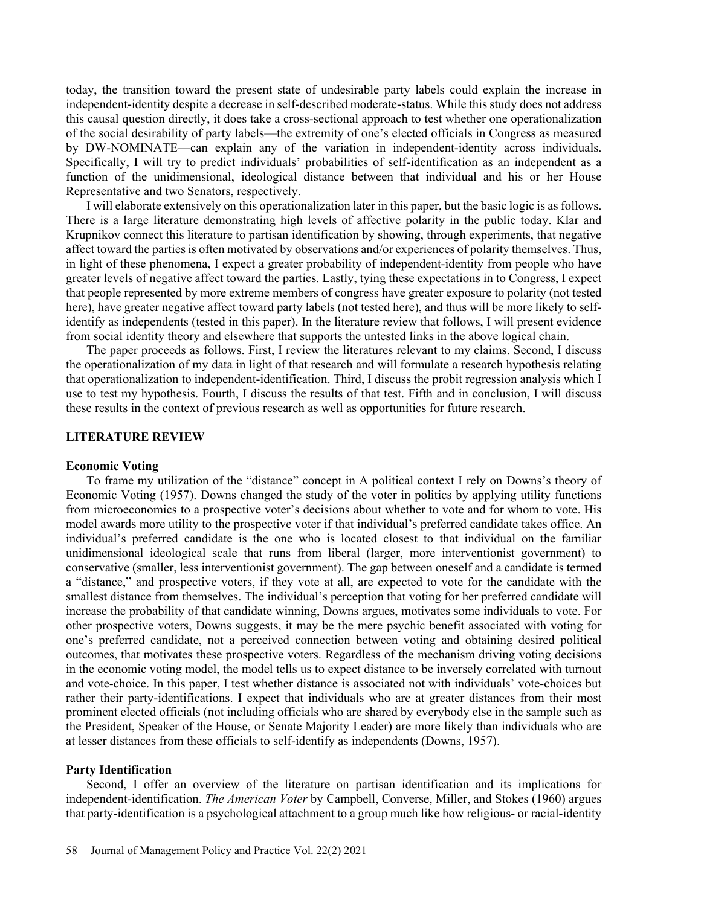today, the transition toward the present state of undesirable party labels could explain the increase in independent-identity despite a decrease in self-described moderate-status. While this study does not address this causal question directly, it does take a cross-sectional approach to test whether one operationalization of the social desirability of party labels—the extremity of one's elected officials in Congress as measured by DW-NOMINATE—can explain any of the variation in independent-identity across individuals. Specifically, I will try to predict individuals' probabilities of self-identification as an independent as a function of the unidimensional, ideological distance between that individual and his or her House Representative and two Senators, respectively.

I will elaborate extensively on this operationalization later in this paper, but the basic logic is as follows. There is a large literature demonstrating high levels of affective polarity in the public today. Klar and Krupnikov connect this literature to partisan identification by showing, through experiments, that negative affect toward the parties is often motivated by observations and/or experiences of polarity themselves. Thus, in light of these phenomena, I expect a greater probability of independent-identity from people who have greater levels of negative affect toward the parties. Lastly, tying these expectations in to Congress, I expect that people represented by more extreme members of congress have greater exposure to polarity (not tested here), have greater negative affect toward party labels (not tested here), and thus will be more likely to selfidentify as independents (tested in this paper). In the literature review that follows, I will present evidence from social identity theory and elsewhere that supports the untested links in the above logical chain.

The paper proceeds as follows. First, I review the literatures relevant to my claims. Second, I discuss the operationalization of my data in light of that research and will formulate a research hypothesis relating that operationalization to independent-identification. Third, I discuss the probit regression analysis which I use to test my hypothesis. Fourth, I discuss the results of that test. Fifth and in conclusion, I will discuss these results in the context of previous research as well as opportunities for future research.

#### **LITERATURE REVIEW**

#### **Economic Voting**

To frame my utilization of the "distance" concept in A political context I rely on Downs's theory of Economic Voting (1957). Downs changed the study of the voter in politics by applying utility functions from microeconomics to a prospective voter's decisions about whether to vote and for whom to vote. His model awards more utility to the prospective voter if that individual's preferred candidate takes office. An individual's preferred candidate is the one who is located closest to that individual on the familiar unidimensional ideological scale that runs from liberal (larger, more interventionist government) to conservative (smaller, less interventionist government). The gap between oneself and a candidate is termed a "distance," and prospective voters, if they vote at all, are expected to vote for the candidate with the smallest distance from themselves. The individual's perception that voting for her preferred candidate will increase the probability of that candidate winning, Downs argues, motivates some individuals to vote. For other prospective voters, Downs suggests, it may be the mere psychic benefit associated with voting for one's preferred candidate, not a perceived connection between voting and obtaining desired political outcomes, that motivates these prospective voters. Regardless of the mechanism driving voting decisions in the economic voting model, the model tells us to expect distance to be inversely correlated with turnout and vote-choice. In this paper, I test whether distance is associated not with individuals' vote-choices but rather their party-identifications. I expect that individuals who are at greater distances from their most prominent elected officials (not including officials who are shared by everybody else in the sample such as the President, Speaker of the House, or Senate Majority Leader) are more likely than individuals who are at lesser distances from these officials to self-identify as independents (Downs, 1957).

#### **Party Identification**

Second, I offer an overview of the literature on partisan identification and its implications for independent-identification. *The American Voter* by Campbell, Converse, Miller, and Stokes (1960) argues that party-identification is a psychological attachment to a group much like how religious- or racial-identity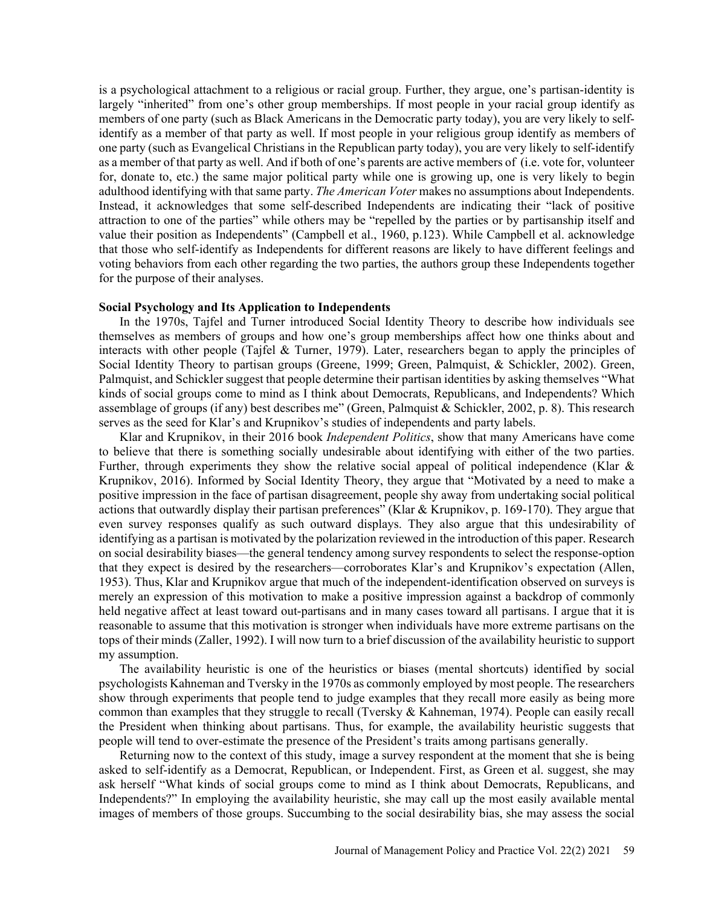is a psychological attachment to a religious or racial group. Further, they argue, one's partisan-identity is largely "inherited" from one's other group memberships. If most people in your racial group identify as members of one party (such as Black Americans in the Democratic party today), you are very likely to selfidentify as a member of that party as well. If most people in your religious group identify as members of one party (such as Evangelical Christians in the Republican party today), you are very likely to self-identify as a member of that party as well. And if both of one's parents are active members of (i.e. vote for, volunteer for, donate to, etc.) the same major political party while one is growing up, one is very likely to begin adulthood identifying with that same party. *The American Voter* makes no assumptions about Independents. Instead, it acknowledges that some self-described Independents are indicating their "lack of positive attraction to one of the parties" while others may be "repelled by the parties or by partisanship itself and value their position as Independents" (Campbell et al., 1960, p.123). While Campbell et al. acknowledge that those who self-identify as Independents for different reasons are likely to have different feelings and voting behaviors from each other regarding the two parties, the authors group these Independents together for the purpose of their analyses.

#### **Social Psychology and Its Application to Independents**

In the 1970s, Tajfel and Turner introduced Social Identity Theory to describe how individuals see themselves as members of groups and how one's group memberships affect how one thinks about and interacts with other people (Tajfel & Turner, 1979). Later, researchers began to apply the principles of Social Identity Theory to partisan groups (Greene, 1999; Green, Palmquist, & Schickler, 2002). Green, Palmquist, and Schickler suggest that people determine their partisan identities by asking themselves "What kinds of social groups come to mind as I think about Democrats, Republicans, and Independents? Which assemblage of groups (if any) best describes me" (Green, Palmquist & Schickler, 2002, p. 8). This research serves as the seed for Klar's and Krupnikov's studies of independents and party labels.

Klar and Krupnikov, in their 2016 book *Independent Politics*, show that many Americans have come to believe that there is something socially undesirable about identifying with either of the two parties. Further, through experiments they show the relative social appeal of political independence (Klar & Krupnikov, 2016). Informed by Social Identity Theory, they argue that "Motivated by a need to make a positive impression in the face of partisan disagreement, people shy away from undertaking social political actions that outwardly display their partisan preferences" (Klar & Krupnikov, p. 169-170). They argue that even survey responses qualify as such outward displays. They also argue that this undesirability of identifying as a partisan is motivated by the polarization reviewed in the introduction of this paper. Research on social desirability biases—the general tendency among survey respondents to select the response-option that they expect is desired by the researchers—corroborates Klar's and Krupnikov's expectation (Allen, 1953). Thus, Klar and Krupnikov argue that much of the independent-identification observed on surveys is merely an expression of this motivation to make a positive impression against a backdrop of commonly held negative affect at least toward out-partisans and in many cases toward all partisans. I argue that it is reasonable to assume that this motivation is stronger when individuals have more extreme partisans on the tops of their minds (Zaller, 1992). I will now turn to a brief discussion of the availability heuristic to support my assumption.

The availability heuristic is one of the heuristics or biases (mental shortcuts) identified by social psychologists Kahneman and Tversky in the 1970s as commonly employed by most people. The researchers show through experiments that people tend to judge examples that they recall more easily as being more common than examples that they struggle to recall (Tversky & Kahneman, 1974). People can easily recall the President when thinking about partisans. Thus, for example, the availability heuristic suggests that people will tend to over-estimate the presence of the President's traits among partisans generally.

Returning now to the context of this study, image a survey respondent at the moment that she is being asked to self-identify as a Democrat, Republican, or Independent. First, as Green et al. suggest, she may ask herself "What kinds of social groups come to mind as I think about Democrats, Republicans, and Independents?" In employing the availability heuristic, she may call up the most easily available mental images of members of those groups. Succumbing to the social desirability bias, she may assess the social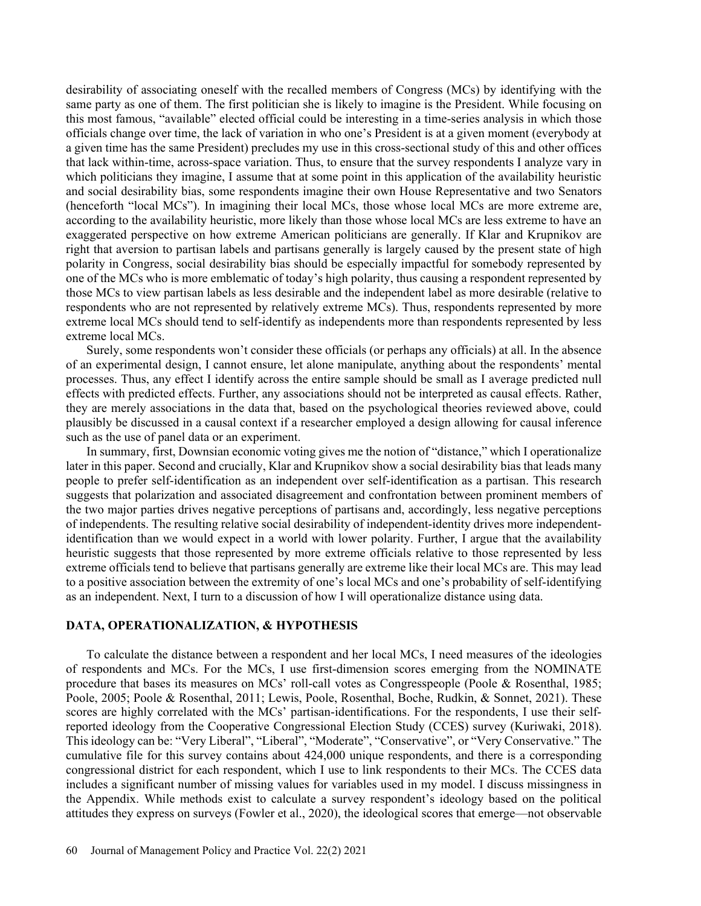desirability of associating oneself with the recalled members of Congress (MCs) by identifying with the same party as one of them. The first politician she is likely to imagine is the President. While focusing on this most famous, "available" elected official could be interesting in a time-series analysis in which those officials change over time, the lack of variation in who one's President is at a given moment (everybody at a given time has the same President) precludes my use in this cross-sectional study of this and other offices that lack within-time, across-space variation. Thus, to ensure that the survey respondents I analyze vary in which politicians they imagine, I assume that at some point in this application of the availability heuristic and social desirability bias, some respondents imagine their own House Representative and two Senators (henceforth "local MCs"). In imagining their local MCs, those whose local MCs are more extreme are, according to the availability heuristic, more likely than those whose local MCs are less extreme to have an exaggerated perspective on how extreme American politicians are generally. If Klar and Krupnikov are right that aversion to partisan labels and partisans generally is largely caused by the present state of high polarity in Congress, social desirability bias should be especially impactful for somebody represented by one of the MCs who is more emblematic of today's high polarity, thus causing a respondent represented by those MCs to view partisan labels as less desirable and the independent label as more desirable (relative to respondents who are not represented by relatively extreme MCs). Thus, respondents represented by more extreme local MCs should tend to self-identify as independents more than respondents represented by less extreme local MCs.

Surely, some respondents won't consider these officials (or perhaps any officials) at all. In the absence of an experimental design, I cannot ensure, let alone manipulate, anything about the respondents' mental processes. Thus, any effect I identify across the entire sample should be small as I average predicted null effects with predicted effects. Further, any associations should not be interpreted as causal effects. Rather, they are merely associations in the data that, based on the psychological theories reviewed above, could plausibly be discussed in a causal context if a researcher employed a design allowing for causal inference such as the use of panel data or an experiment.

In summary, first, Downsian economic voting gives me the notion of "distance," which I operationalize later in this paper. Second and crucially, Klar and Krupnikov show a social desirability bias that leads many people to prefer self-identification as an independent over self-identification as a partisan. This research suggests that polarization and associated disagreement and confrontation between prominent members of the two major parties drives negative perceptions of partisans and, accordingly, less negative perceptions of independents. The resulting relative social desirability of independent-identity drives more independentidentification than we would expect in a world with lower polarity. Further, I argue that the availability heuristic suggests that those represented by more extreme officials relative to those represented by less extreme officials tend to believe that partisans generally are extreme like their local MCs are. This may lead to a positive association between the extremity of one's local MCs and one's probability of self-identifying as an independent. Next, I turn to a discussion of how I will operationalize distance using data.

#### **DATA, OPERATIONALIZATION, & HYPOTHESIS**

To calculate the distance between a respondent and her local MCs, I need measures of the ideologies of respondents and MCs. For the MCs, I use first-dimension scores emerging from the NOMINATE procedure that bases its measures on MCs' roll-call votes as Congresspeople (Poole & Rosenthal, 1985; Poole, 2005; Poole & Rosenthal, 2011; Lewis, Poole, Rosenthal, Boche, Rudkin, & Sonnet, 2021). These scores are highly correlated with the MCs' partisan-identifications. For the respondents, I use their selfreported ideology from the Cooperative Congressional Election Study (CCES) survey (Kuriwaki, 2018). This ideology can be: "Very Liberal", "Liberal", "Moderate", "Conservative", or "Very Conservative." The cumulative file for this survey contains about 424,000 unique respondents, and there is a corresponding congressional district for each respondent, which I use to link respondents to their MCs. The CCES data includes a significant number of missing values for variables used in my model. I discuss missingness in the Appendix. While methods exist to calculate a survey respondent's ideology based on the political attitudes they express on surveys (Fowler et al., 2020), the ideological scores that emerge—not observable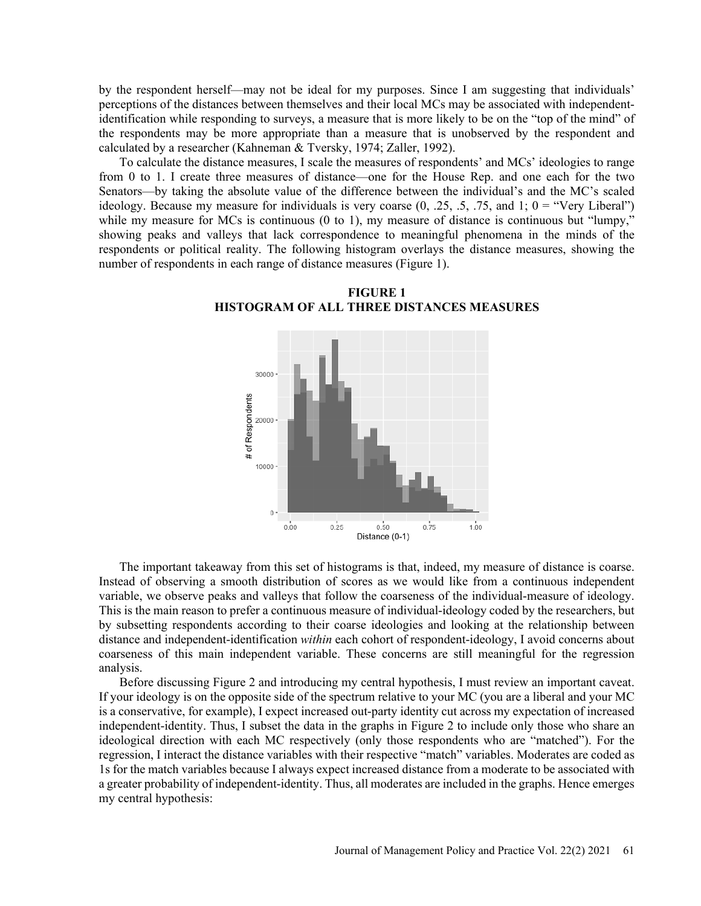by the respondent herself—may not be ideal for my purposes. Since I am suggesting that individuals' perceptions of the distances between themselves and their local MCs may be associated with independentidentification while responding to surveys, a measure that is more likely to be on the "top of the mind" of the respondents may be more appropriate than a measure that is unobserved by the respondent and calculated by a researcher (Kahneman & Tversky, 1974; Zaller, 1992).

To calculate the distance measures, I scale the measures of respondents' and MCs' ideologies to range from 0 to 1. I create three measures of distance—one for the House Rep. and one each for the two Senators—by taking the absolute value of the difference between the individual's and the MC's scaled ideology. Because my measure for individuals is very coarse  $(0, 0.25, 0.5, 0.75, 0.75)$  and  $(1, 0)$  = "Very Liberal") while my measure for MCs is continuous (0 to 1), my measure of distance is continuous but "lumpy," showing peaks and valleys that lack correspondence to meaningful phenomena in the minds of the respondents or political reality. The following histogram overlays the distance measures, showing the number of respondents in each range of distance measures (Figure 1).



**FIGURE 1 HISTOGRAM OF ALL THREE DISTANCES MEASURES**

The important takeaway from this set of histograms is that, indeed, my measure of distance is coarse. Instead of observing a smooth distribution of scores as we would like from a continuous independent variable, we observe peaks and valleys that follow the coarseness of the individual-measure of ideology. This is the main reason to prefer a continuous measure of individual-ideology coded by the researchers, but by subsetting respondents according to their coarse ideologies and looking at the relationship between distance and independent-identification *within* each cohort of respondent-ideology, I avoid concerns about coarseness of this main independent variable. These concerns are still meaningful for the regression analysis.

Before discussing Figure 2 and introducing my central hypothesis, I must review an important caveat. If your ideology is on the opposite side of the spectrum relative to your MC (you are a liberal and your MC is a conservative, for example), I expect increased out-party identity cut across my expectation of increased independent-identity. Thus, I subset the data in the graphs in Figure 2 to include only those who share an ideological direction with each MC respectively (only those respondents who are "matched"). For the regression, I interact the distance variables with their respective "match" variables. Moderates are coded as 1s for the match variables because I always expect increased distance from a moderate to be associated with a greater probability of independent-identity. Thus, all moderates are included in the graphs. Hence emerges my central hypothesis: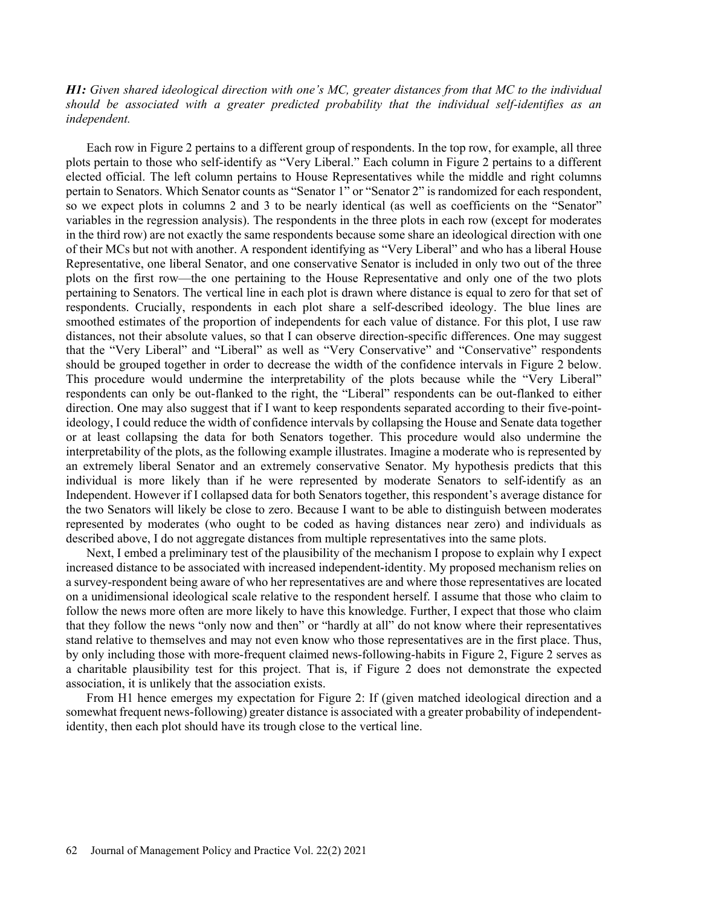## *H1: Given shared ideological direction with one's MC, greater distances from that MC to the individual should be associated with a greater predicted probability that the individual self-identifies as an independent.*

Each row in Figure 2 pertains to a different group of respondents. In the top row, for example, all three plots pertain to those who self-identify as "Very Liberal." Each column in Figure 2 pertains to a different elected official. The left column pertains to House Representatives while the middle and right columns pertain to Senators. Which Senator counts as "Senator 1" or "Senator 2" is randomized for each respondent, so we expect plots in columns 2 and 3 to be nearly identical (as well as coefficients on the "Senator" variables in the regression analysis). The respondents in the three plots in each row (except for moderates in the third row) are not exactly the same respondents because some share an ideological direction with one of their MCs but not with another. A respondent identifying as "Very Liberal" and who has a liberal House Representative, one liberal Senator, and one conservative Senator is included in only two out of the three plots on the first row—the one pertaining to the House Representative and only one of the two plots pertaining to Senators. The vertical line in each plot is drawn where distance is equal to zero for that set of respondents. Crucially, respondents in each plot share a self-described ideology. The blue lines are smoothed estimates of the proportion of independents for each value of distance. For this plot, I use raw distances, not their absolute values, so that I can observe direction-specific differences. One may suggest that the "Very Liberal" and "Liberal" as well as "Very Conservative" and "Conservative" respondents should be grouped together in order to decrease the width of the confidence intervals in Figure 2 below. This procedure would undermine the interpretability of the plots because while the "Very Liberal" respondents can only be out-flanked to the right, the "Liberal" respondents can be out-flanked to either direction. One may also suggest that if I want to keep respondents separated according to their five-pointideology, I could reduce the width of confidence intervals by collapsing the House and Senate data together or at least collapsing the data for both Senators together. This procedure would also undermine the interpretability of the plots, as the following example illustrates. Imagine a moderate who is represented by an extremely liberal Senator and an extremely conservative Senator. My hypothesis predicts that this individual is more likely than if he were represented by moderate Senators to self-identify as an Independent. However if I collapsed data for both Senators together, this respondent's average distance for the two Senators will likely be close to zero. Because I want to be able to distinguish between moderates represented by moderates (who ought to be coded as having distances near zero) and individuals as described above, I do not aggregate distances from multiple representatives into the same plots.

Next, I embed a preliminary test of the plausibility of the mechanism I propose to explain why I expect increased distance to be associated with increased independent-identity. My proposed mechanism relies on a survey-respondent being aware of who her representatives are and where those representatives are located on a unidimensional ideological scale relative to the respondent herself. I assume that those who claim to follow the news more often are more likely to have this knowledge. Further, I expect that those who claim that they follow the news "only now and then" or "hardly at all" do not know where their representatives stand relative to themselves and may not even know who those representatives are in the first place. Thus, by only including those with more-frequent claimed news-following-habits in Figure 2, Figure 2 serves as a charitable plausibility test for this project. That is, if Figure 2 does not demonstrate the expected association, it is unlikely that the association exists.

From H1 hence emerges my expectation for Figure 2: If (given matched ideological direction and a somewhat frequent news-following) greater distance is associated with a greater probability of independentidentity, then each plot should have its trough close to the vertical line.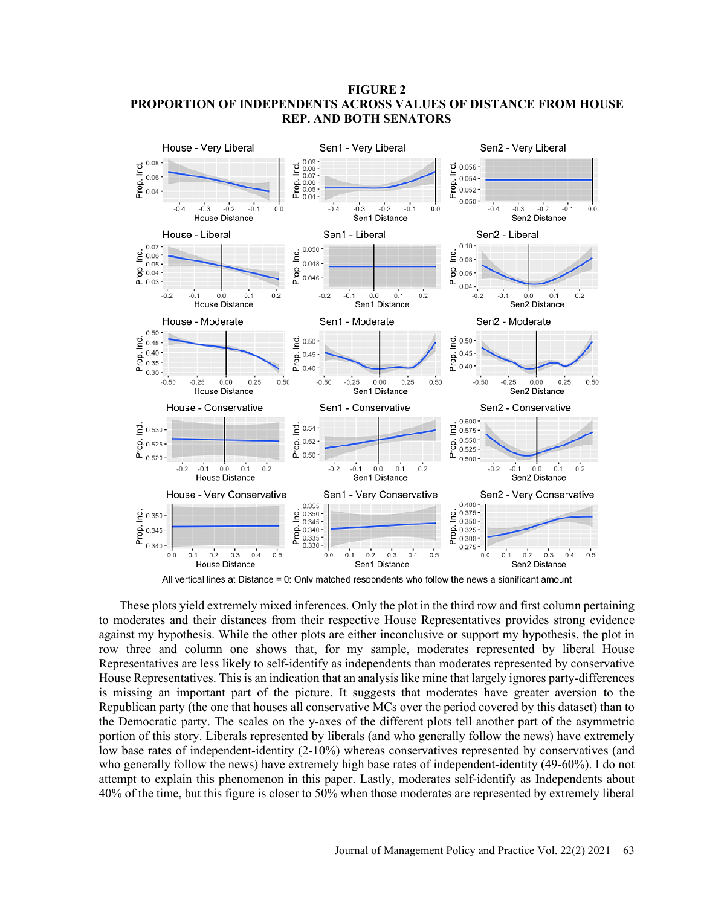## **FIGURE 2 PROPORTION OF INDEPENDENTS ACROSS VALUES OF DISTANCE FROM HOUSE REP. AND BOTH SENATORS**



All vertical lines at Distance = 0; Only matched respondents who follow the news a significant amount

These plots yield extremely mixed inferences. Only the plot in the third row and first column pertaining to moderates and their distances from their respective House Representatives provides strong evidence against my hypothesis. While the other plots are either inconclusive or support my hypothesis, the plot in row three and column one shows that, for my sample, moderates represented by liberal House Representatives are less likely to self-identify as independents than moderates represented by conservative House Representatives. This is an indication that an analysis like mine that largely ignores party-differences is missing an important part of the picture. It suggests that moderates have greater aversion to the Republican party (the one that houses all conservative MCs over the period covered by this dataset) than to the Democratic party. The scales on the y-axes of the different plots tell another part of the asymmetric portion of this story. Liberals represented by liberals (and who generally follow the news) have extremely low base rates of independent-identity (2-10%) whereas conservatives represented by conservatives (and who generally follow the news) have extremely high base rates of independent-identity (49-60%). I do not attempt to explain this phenomenon in this paper. Lastly, moderates self-identify as Independents about 40% of the time, but this figure is closer to 50% when those moderates are represented by extremely liberal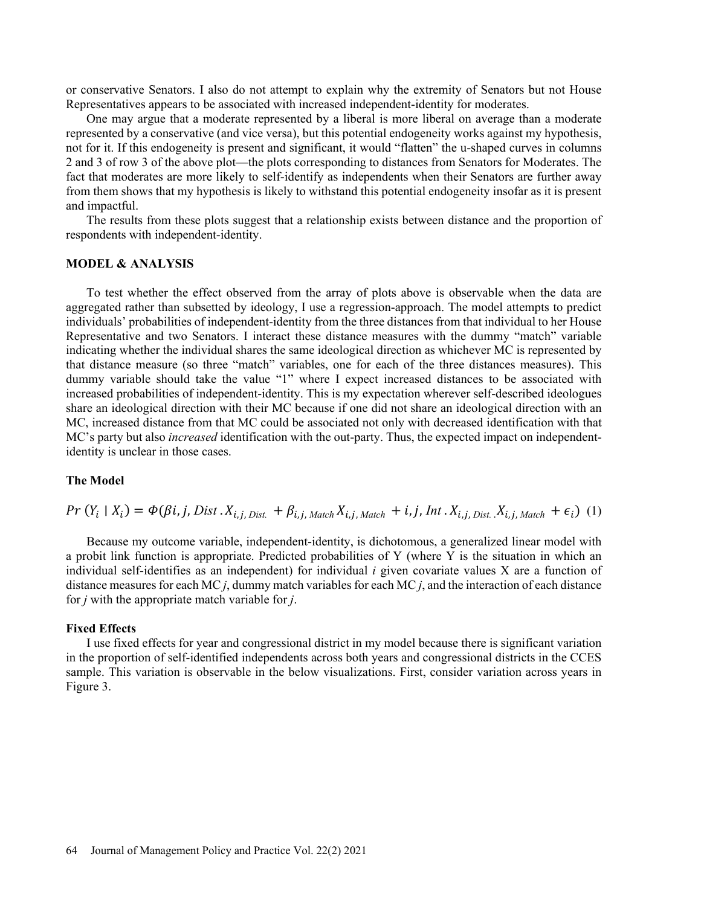or conservative Senators. I also do not attempt to explain why the extremity of Senators but not House Representatives appears to be associated with increased independent-identity for moderates.

One may argue that a moderate represented by a liberal is more liberal on average than a moderate represented by a conservative (and vice versa), but this potential endogeneity works against my hypothesis, not for it. If this endogeneity is present and significant, it would "flatten" the u-shaped curves in columns 2 and 3 of row 3 of the above plot—the plots corresponding to distances from Senators for Moderates. The fact that moderates are more likely to self-identify as independents when their Senators are further away from them shows that my hypothesis is likely to withstand this potential endogeneity insofar as it is present and impactful.

The results from these plots suggest that a relationship exists between distance and the proportion of respondents with independent-identity.

## **MODEL & ANALYSIS**

To test whether the effect observed from the array of plots above is observable when the data are aggregated rather than subsetted by ideology, I use a regression-approach. The model attempts to predict individuals' probabilities of independent-identity from the three distances from that individual to her House Representative and two Senators. I interact these distance measures with the dummy "match" variable indicating whether the individual shares the same ideological direction as whichever MC is represented by that distance measure (so three "match" variables, one for each of the three distances measures). This dummy variable should take the value "1" where I expect increased distances to be associated with increased probabilities of independent-identity. This is my expectation wherever self-described ideologues share an ideological direction with their MC because if one did not share an ideological direction with an MC, increased distance from that MC could be associated not only with decreased identification with that MC's party but also *increased* identification with the out-party. Thus, the expected impact on independentidentity is unclear in those cases.

#### **The Model**

$$
Pr(Y_i | X_i) = \Phi(\beta i, j, Dist \cdot X_{i,j,Dist.} + \beta_{i,j, Match} X_{i,j, Match} + i, j, Int \cdot X_{i,j, Dist.} X_{i,j, Match} + \epsilon_i) \tag{1}
$$

Because my outcome variable, independent-identity, is dichotomous, a generalized linear model with a probit link function is appropriate. Predicted probabilities of Y (where Y is the situation in which an individual self-identifies as an independent) for individual *i* given covariate values X are a function of distance measures for each MC *j*, dummy match variables for each MC *j*, and the interaction of each distance for *j* with the appropriate match variable for *j*.

#### **Fixed Effects**

I use fixed effects for year and congressional district in my model because there is significant variation in the proportion of self-identified independents across both years and congressional districts in the CCES sample. This variation is observable in the below visualizations. First, consider variation across years in Figure 3.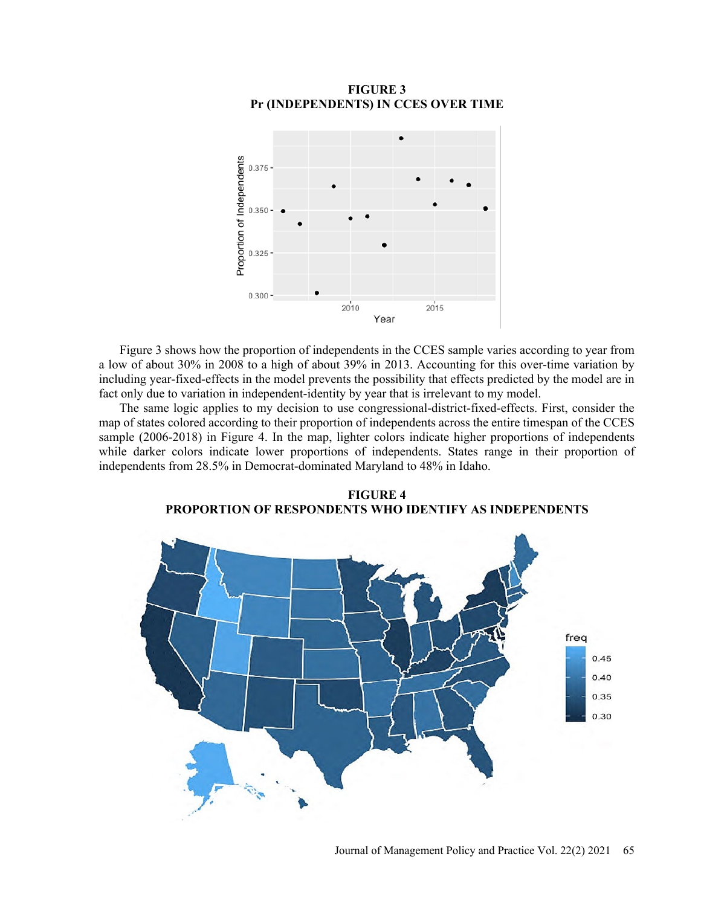

## **FIGURE 3 Pr (INDEPENDENTS) IN CCES OVER TIME**

Figure 3 shows how the proportion of independents in the CCES sample varies according to year from a low of about 30% in 2008 to a high of about 39% in 2013. Accounting for this over-time variation by including year-fixed-effects in the model prevents the possibility that effects predicted by the model are in fact only due to variation in independent-identity by year that is irrelevant to my model.

The same logic applies to my decision to use congressional-district-fixed-effects. First, consider the map of states colored according to their proportion of independents across the entire timespan of the CCES sample (2006-2018) in Figure 4. In the map, lighter colors indicate higher proportions of independents while darker colors indicate lower proportions of independents. States range in their proportion of independents from 28.5% in Democrat-dominated Maryland to 48% in Idaho.



**FIGURE 4 PROPORTION OF RESPONDENTS WHO IDENTIFY AS INDEPENDENTS**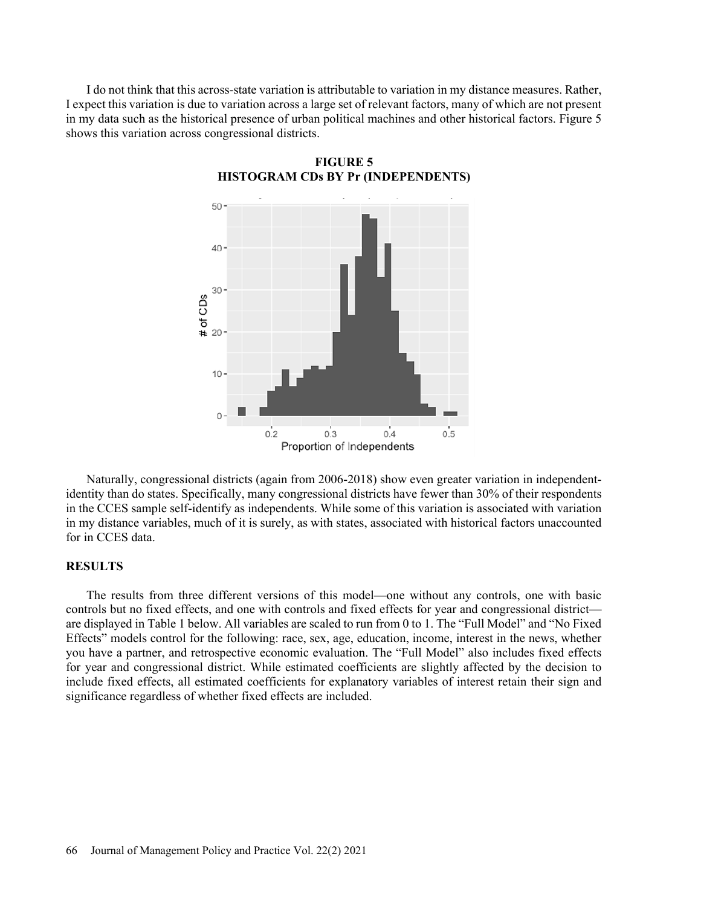I do not think that this across-state variation is attributable to variation in my distance measures. Rather, I expect this variation is due to variation across a large set of relevant factors, many of which are not present in my data such as the historical presence of urban political machines and other historical factors. Figure 5 shows this variation across congressional districts.



**FIGURE 5 HISTOGRAM CDs BY Pr (INDEPENDENTS)**

Naturally, congressional districts (again from 2006-2018) show even greater variation in independentidentity than do states. Specifically, many congressional districts have fewer than 30% of their respondents in the CCES sample self-identify as independents. While some of this variation is associated with variation in my distance variables, much of it is surely, as with states, associated with historical factors unaccounted for in CCES data.

#### **RESULTS**

The results from three different versions of this model—one without any controls, one with basic controls but no fixed effects, and one with controls and fixed effects for year and congressional district are displayed in Table 1 below. All variables are scaled to run from 0 to 1. The "Full Model" and "No Fixed Effects" models control for the following: race, sex, age, education, income, interest in the news, whether you have a partner, and retrospective economic evaluation. The "Full Model" also includes fixed effects for year and congressional district. While estimated coefficients are slightly affected by the decision to include fixed effects, all estimated coefficients for explanatory variables of interest retain their sign and significance regardless of whether fixed effects are included.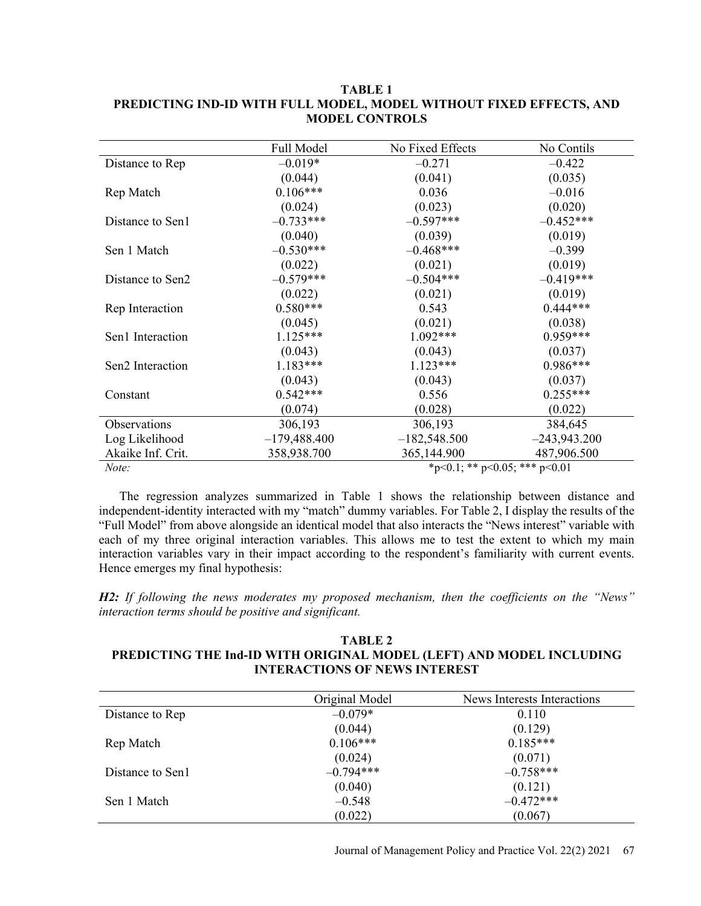|                   | Full Model                    | No Fixed Effects | No Contils     |
|-------------------|-------------------------------|------------------|----------------|
| Distance to Rep   | $-0.019*$                     | $-0.271$         | $-0.422$       |
|                   | (0.044)                       | (0.041)          | (0.035)        |
| Rep Match         | $0.106***$                    | 0.036            | $-0.016$       |
|                   | (0.024)                       | (0.023)          | (0.020)        |
| Distance to Sen1  | $-0.733***$                   | $-0.597***$      | $-0.452***$    |
|                   | (0.040)                       | (0.039)          | (0.019)        |
| Sen 1 Match       | $-0.530***$                   | $-0.468***$      | $-0.399$       |
|                   | (0.022)                       | (0.021)          | (0.019)        |
| Distance to Sen2  | $-0.579***$                   | $-0.504***$      | $-0.419***$    |
|                   | (0.022)                       | (0.021)          | (0.019)        |
| Rep Interaction   | $0.580***$                    | 0.543            | $0.444***$     |
|                   | (0.045)                       | (0.021)          | (0.038)        |
| Sen1 Interaction  | $1.125***$                    | $1.092***$       | $0.959***$     |
|                   | (0.043)                       | (0.043)          | (0.037)        |
| Sen2 Interaction  | $1.183***$                    | $1.123***$       | $0.986***$     |
|                   | (0.043)                       | (0.043)          | (0.037)        |
| Constant          | $0.542***$                    | 0.556            | $0.255***$     |
|                   | (0.074)                       | (0.028)          | (0.022)        |
| Observations      | 306,193                       | 306,193          | 384,645        |
| Log Likelihood    | $-179,488.400$                | $-182,548.500$   | $-243,943.200$ |
| Akaike Inf. Crit. | 358,938.700                   | 365,144.900      | 487,906.500    |
| Note:             | *p<0.1; ** p<0.05; *** p<0.01 |                  |                |

## **TABLE 1 PREDICTING IND-ID WITH FULL MODEL, MODEL WITHOUT FIXED EFFECTS, AND MODEL CONTROLS**

The regression analyzes summarized in Table 1 shows the relationship between distance and independent-identity interacted with my "match" dummy variables. For Table 2, I display the results of the "Full Model" from above alongside an identical model that also interacts the "News interest" variable with each of my three original interaction variables. This allows me to test the extent to which my main interaction variables vary in their impact according to the respondent's familiarity with current events. Hence emerges my final hypothesis:

*H2: If following the news moderates my proposed mechanism, then the coefficients on the "News" interaction terms should be positive and significant.*

## **TABLE 2 PREDICTING THE Ind-ID WITH ORIGINAL MODEL (LEFT) AND MODEL INCLUDING INTERACTIONS OF NEWS INTEREST**

|                  | Original Model | News Interests Interactions |
|------------------|----------------|-----------------------------|
| Distance to Rep  | $-0.079*$      | 0.110                       |
|                  | (0.044)        | (0.129)                     |
| Rep Match        | $0.106***$     | $0.185***$                  |
|                  | (0.024)        | (0.071)                     |
| Distance to Sen1 | $-0.794***$    | $-0.758***$                 |
|                  | (0.040)        | (0.121)                     |
| Sen 1 Match      | $-0.548$       | $-0.472***$                 |
|                  | (0.022)        | (0.067)                     |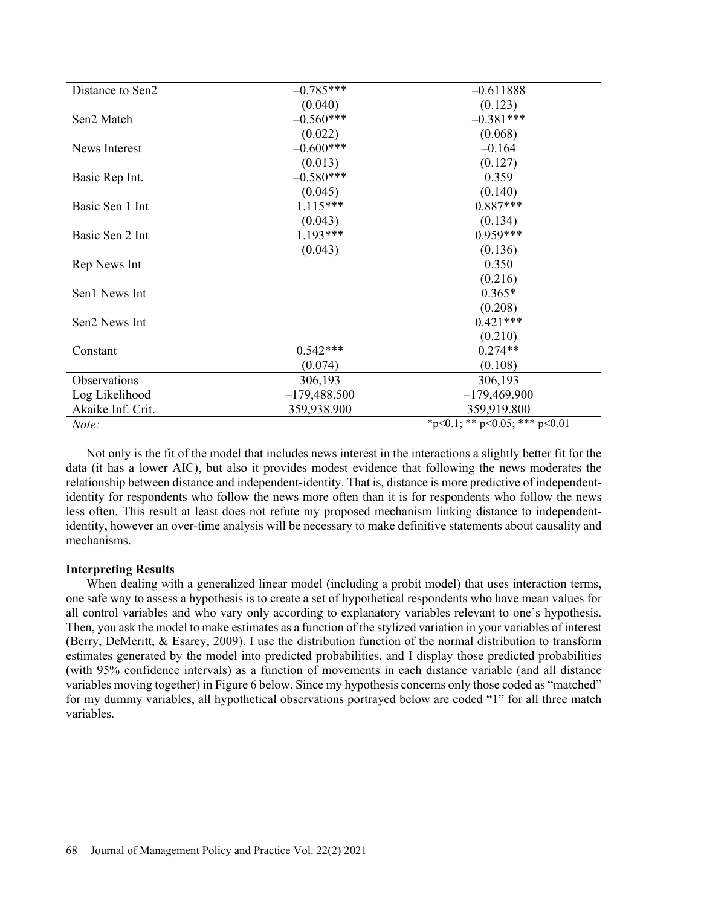| Distance to Sen2  | $-0.785***$    | $-0.611888$                   |
|-------------------|----------------|-------------------------------|
|                   | (0.040)        | (0.123)                       |
| Sen2 Match        | $-0.560***$    | $-0.381***$                   |
|                   | (0.022)        | (0.068)                       |
| News Interest     | $-0.600***$    | $-0.164$                      |
|                   | (0.013)        | (0.127)                       |
| Basic Rep Int.    | $-0.580***$    | 0.359                         |
|                   | (0.045)        | (0.140)                       |
| Basic Sen 1 Int   | $1.115***$     | $0.887***$                    |
|                   | (0.043)        | (0.134)                       |
| Basic Sen 2 Int   | $1.193***$     | $0.959***$                    |
|                   | (0.043)        | (0.136)                       |
| Rep News Int      |                | 0.350                         |
|                   |                | (0.216)                       |
| Sen1 News Int     |                | $0.365*$                      |
|                   |                | (0.208)                       |
| Sen2 News Int     |                | $0.421***$                    |
|                   |                | (0.210)                       |
| Constant          | $0.542***$     | $0.274**$                     |
|                   | (0.074)        | (0.108)                       |
| Observations      | 306,193        | 306,193                       |
| Log Likelihood    | $-179,488.500$ | $-179,469.900$                |
| Akaike Inf. Crit. | 359,938.900    | 359,919.800                   |
| Note:             |                | *p<0.1; ** p<0.05; *** p<0.01 |

Not only is the fit of the model that includes news interest in the interactions a slightly better fit for the data (it has a lower AIC), but also it provides modest evidence that following the news moderates the relationship between distance and independent-identity. That is, distance is more predictive of independentidentity for respondents who follow the news more often than it is for respondents who follow the news less often. This result at least does not refute my proposed mechanism linking distance to independentidentity, however an over-time analysis will be necessary to make definitive statements about causality and mechanisms.

## **Interpreting Results**

When dealing with a generalized linear model (including a probit model) that uses interaction terms, one safe way to assess a hypothesis is to create a set of hypothetical respondents who have mean values for all control variables and who vary only according to explanatory variables relevant to one's hypothesis. Then, you ask the model to make estimates as a function of the stylized variation in your variables of interest (Berry, DeMeritt, & Esarey, 2009). I use the distribution function of the normal distribution to transform estimates generated by the model into predicted probabilities, and I display those predicted probabilities (with 95% confidence intervals) as a function of movements in each distance variable (and all distance variables moving together) in Figure 6 below. Since my hypothesis concerns only those coded as "matched" for my dummy variables, all hypothetical observations portrayed below are coded "1" for all three match variables.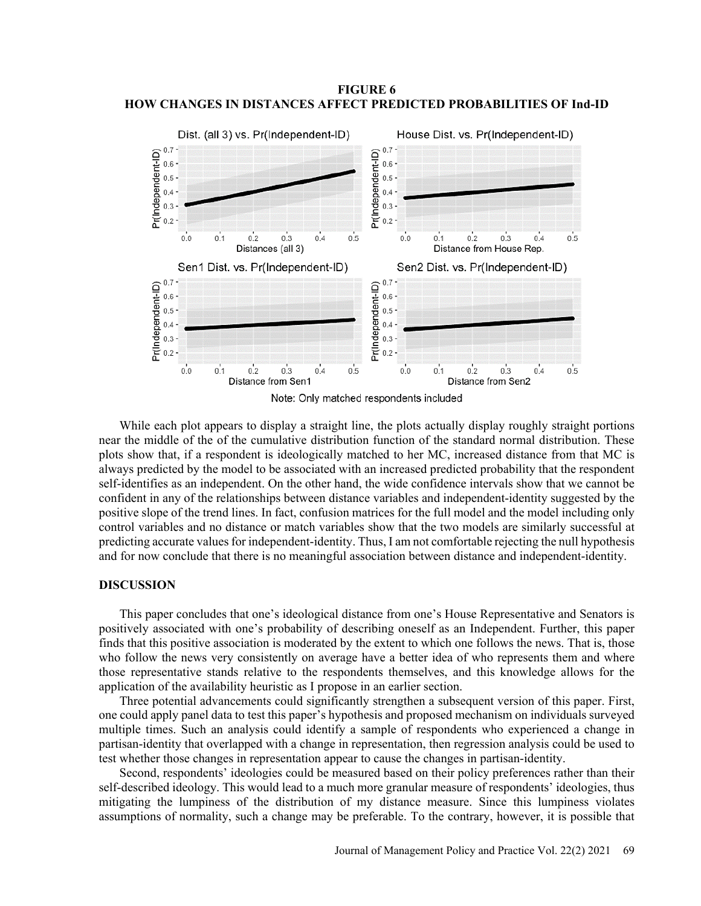**FIGURE 6 HOW CHANGES IN DISTANCES AFFECT PREDICTED PROBABILITIES OF Ind-ID**



While each plot appears to display a straight line, the plots actually display roughly straight portions near the middle of the of the cumulative distribution function of the standard normal distribution. These plots show that, if a respondent is ideologically matched to her MC, increased distance from that MC is always predicted by the model to be associated with an increased predicted probability that the respondent self-identifies as an independent. On the other hand, the wide confidence intervals show that we cannot be confident in any of the relationships between distance variables and independent-identity suggested by the positive slope of the trend lines. In fact, confusion matrices for the full model and the model including only control variables and no distance or match variables show that the two models are similarly successful at predicting accurate values for independent-identity. Thus, I am not comfortable rejecting the null hypothesis and for now conclude that there is no meaningful association between distance and independent-identity.

#### **DISCUSSION**

This paper concludes that one's ideological distance from one's House Representative and Senators is positively associated with one's probability of describing oneself as an Independent. Further, this paper finds that this positive association is moderated by the extent to which one follows the news. That is, those who follow the news very consistently on average have a better idea of who represents them and where those representative stands relative to the respondents themselves, and this knowledge allows for the application of the availability heuristic as I propose in an earlier section.

Three potential advancements could significantly strengthen a subsequent version of this paper. First, one could apply panel data to test this paper's hypothesis and proposed mechanism on individuals surveyed multiple times. Such an analysis could identify a sample of respondents who experienced a change in partisan-identity that overlapped with a change in representation, then regression analysis could be used to test whether those changes in representation appear to cause the changes in partisan-identity.

Second, respondents' ideologies could be measured based on their policy preferences rather than their self-described ideology. This would lead to a much more granular measure of respondents' ideologies, thus mitigating the lumpiness of the distribution of my distance measure. Since this lumpiness violates assumptions of normality, such a change may be preferable. To the contrary, however, it is possible that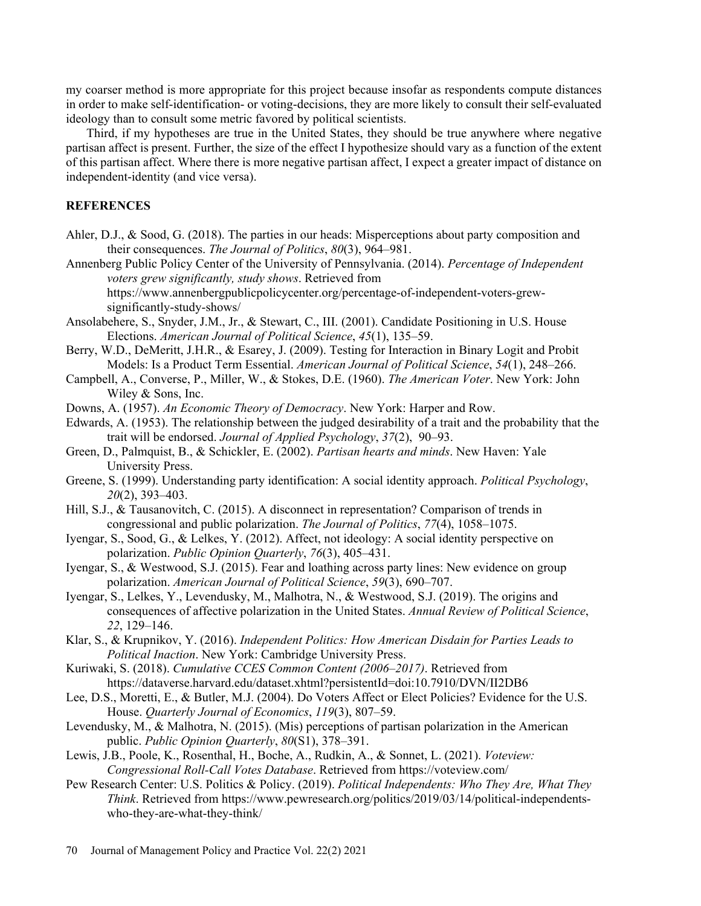my coarser method is more appropriate for this project because insofar as respondents compute distances in order to make self-identification- or voting-decisions, they are more likely to consult their self-evaluated ideology than to consult some metric favored by political scientists.

Third, if my hypotheses are true in the United States, they should be true anywhere where negative partisan affect is present. Further, the size of the effect I hypothesize should vary as a function of the extent of this partisan affect. Where there is more negative partisan affect, I expect a greater impact of distance on independent-identity (and vice versa).

### **REFERENCES**

- Ahler, D.J., & Sood, G. (2018). The parties in our heads: Misperceptions about party composition and their consequences. *The Journal of Politics*, *80*(3), 964–981.
- Annenberg Public Policy Center of the University of Pennsylvania. (2014). *Percentage of Independent voters grew significantly, study shows*. Retrieved from

https://www.annenbergpublicpolicycenter.org/percentage-of-independent-voters-grewsignificantly-study-shows/

- Ansolabehere, S., Snyder, J.M., Jr., & Stewart, C., III. (2001). Candidate Positioning in U.S. House Elections. *American Journal of Political Science*, *45*(1), 135–59.
- Berry, W.D., DeMeritt, J.H.R., & Esarey, J. (2009). Testing for Interaction in Binary Logit and Probit Models: Is a Product Term Essential. *American Journal of Political Science*, *54*(1), 248–266.
- Campbell, A., Converse, P., Miller, W., & Stokes, D.E. (1960). *The American Voter*. New York: John Wiley & Sons, Inc.

Downs, A. (1957). *An Economic Theory of Democracy*. New York: Harper and Row.

- Edwards, A. (1953). The relationship between the judged desirability of a trait and the probability that the trait will be endorsed. *Journal of Applied Psychology*, *37*(2), 90–93.
- Green, D., Palmquist, B., & Schickler, E. (2002). *Partisan hearts and minds*. New Haven: Yale University Press.
- Greene, S. (1999). Understanding party identification: A social identity approach. *Political Psychology*, *20*(2), 393–403.
- Hill, S.J., & Tausanovitch, C. (2015). A disconnect in representation? Comparison of trends in congressional and public polarization. *The Journal of Politics*, *77*(4), 1058–1075.
- Iyengar, S., Sood, G., & Lelkes, Y. (2012). Affect, not ideology: A social identity perspective on polarization. *Public Opinion Quarterly*, *76*(3), 405–431.
- Iyengar, S., & Westwood, S.J. (2015). Fear and loathing across party lines: New evidence on group polarization. *American Journal of Political Science*, *59*(3), 690–707.
- Iyengar, S., Lelkes, Y., Levendusky, M., Malhotra, N., & Westwood, S.J. (2019). The origins and consequences of affective polarization in the United States. *Annual Review of Political Science*, *22*, 129–146.
- Klar, S., & Krupnikov, Y. (2016). *Independent Politics: How American Disdain for Parties Leads to Political Inaction*. New York: Cambridge University Press.
- Kuriwaki, S. (2018). *Cumulative CCES Common Content (2006*–*2017)*. Retrieved from https://dataverse.harvard.edu/dataset.xhtml?persistentId=doi:10.7910/DVN/II2DB6
- Lee, D.S., Moretti, E., & Butler, M.J. (2004). Do Voters Affect or Elect Policies? Evidence for the U.S. House. *Quarterly Journal of Economics*, *119*(3), 807–59.
- Levendusky, M., & Malhotra, N. (2015). (Mis) perceptions of partisan polarization in the American public. *Public Opinion Quarterly*, *80*(S1), 378–391.
- Lewis, J.B., Poole, K., Rosenthal, H., Boche, A., Rudkin, A., & Sonnet, L. (2021). *Voteview: Congressional Roll-Call Votes Database*. Retrieved from https://voteview.com/
- Pew Research Center: U.S. Politics & Policy. (2019). *Political Independents: Who They Are, What They Think*. Retrieved from https://www.pewresearch.org/politics/2019/03/14/political-independentswho-they-are-what-they-think/